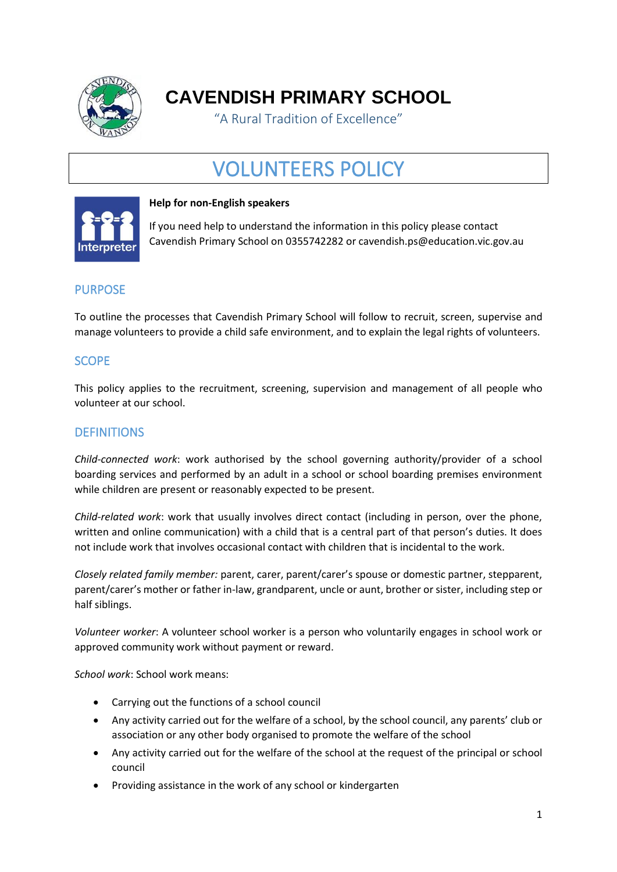

**CAVENDISH PRIMARY SCHOOL**

"A Rural Tradition of Excellence"

# VOLUNTEERS POLICY



## **Help for non-English speakers**

If you need help to understand the information in this policy please contact Cavendish Primary School on 0355742282 or cavendish.ps@education.vic.gov.au

# PURPOSE

To outline the processes that Cavendish Primary School will follow to recruit, screen, supervise and manage volunteers to provide a child safe environment, and to explain the legal rights of volunteers.

# SCOPE

This policy applies to the recruitment, screening, supervision and management of all people who volunteer at our school.

# **DEFINITIONS**

*Child-connected work*: work authorised by the school governing authority/provider of a school boarding services and performed by an adult in a school or school boarding premises environment while children are present or reasonably expected to be present.

*Child-related work*: work that usually involves direct contact (including in person, over the phone, written and online communication) with a child that is a central part of that person's duties. It does not include work that involves occasional contact with children that is incidental to the work.

*Closely related family member:* parent, carer, parent/carer's spouse or domestic partner, stepparent, parent/carer's mother or father in-law, grandparent, uncle or aunt, brother or sister, including step or half siblings.

*Volunteer worker*: A volunteer school worker is a person who voluntarily engages in school work or approved community work without payment or reward.

*School work*: School work means:

- Carrying out the functions of a school council
- Any activity carried out for the welfare of a school, by the school council, any parents' club or association or any other body organised to promote the welfare of the school
- Any activity carried out for the welfare of the school at the request of the principal or school council
- Providing assistance in the work of any school or kindergarten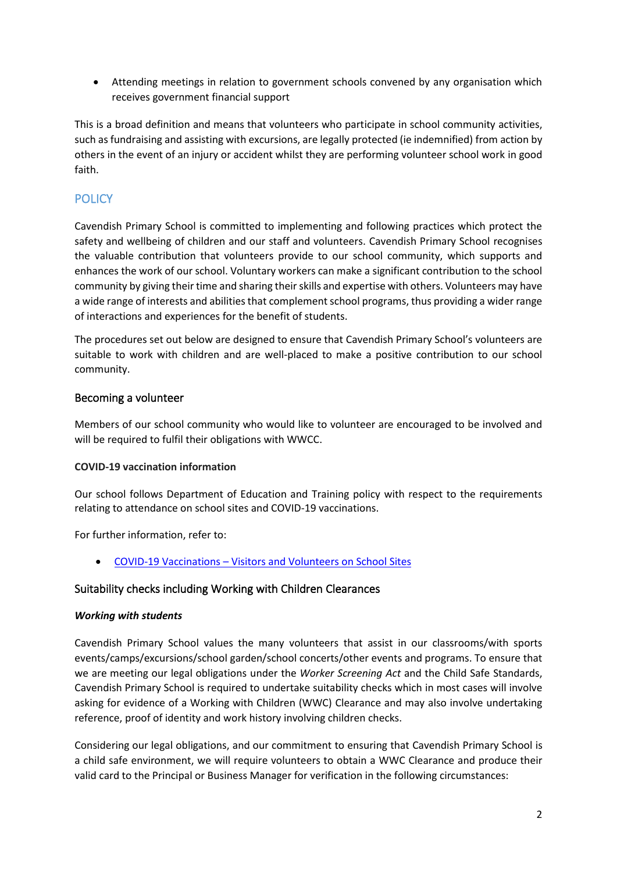• Attending meetings in relation to government schools convened by any organisation which receives government financial support

This is a broad definition and means that volunteers who participate in school community activities, such as fundraising and assisting with excursions, are legally protected (ie indemnified) from action by others in the event of an injury or accident whilst they are performing volunteer school work in good faith.

# **POLICY**

Cavendish Primary School is committed to implementing and following practices which protect the safety and wellbeing of children and our staff and volunteers. Cavendish Primary School recognises the valuable contribution that volunteers provide to our school community, which supports and enhances the work of our school. Voluntary workers can make a significant contribution to the school community by giving their time and sharing their skills and expertise with others. Volunteers may have a wide range of interests and abilities that complement school programs, thus providing a wider range of interactions and experiences for the benefit of students.

The procedures set out below are designed to ensure that Cavendish Primary School's volunteers are suitable to work with children and are well-placed to make a positive contribution to our school community.

## Becoming a volunteer

Members of our school community who would like to volunteer are encouraged to be involved and will be required to fulfil their obligations with WWCC.

## **COVID-19 vaccination information**

Our school follows Department of Education and Training policy with respect to the requirements relating to attendance on school sites and COVID-19 vaccinations.

For further information, refer to:

• COVID-19 Vaccinations – [Visitors and Volunteers on School Sites](https://www2.education.vic.gov.au/pal/covid-19-vaccinations-visitors-volunteers/policy)

## Suitability checks including Working with Children Clearances

#### *Working with students*

Cavendish Primary School values the many volunteers that assist in our classrooms/with sports events/camps/excursions/school garden/school concerts/other events and programs. To ensure that we are meeting our legal obligations under the *Worker Screening Act* and the Child Safe Standards, Cavendish Primary School is required to undertake suitability checks which in most cases will involve asking for evidence of a Working with Children (WWC) Clearance and may also involve undertaking reference, proof of identity and work history involving children checks.

Considering our legal obligations, and our commitment to ensuring that Cavendish Primary School is a child safe environment, we will require volunteers to obtain a WWC Clearance and produce their valid card to the Principal or Business Manager for verification in the following circumstances: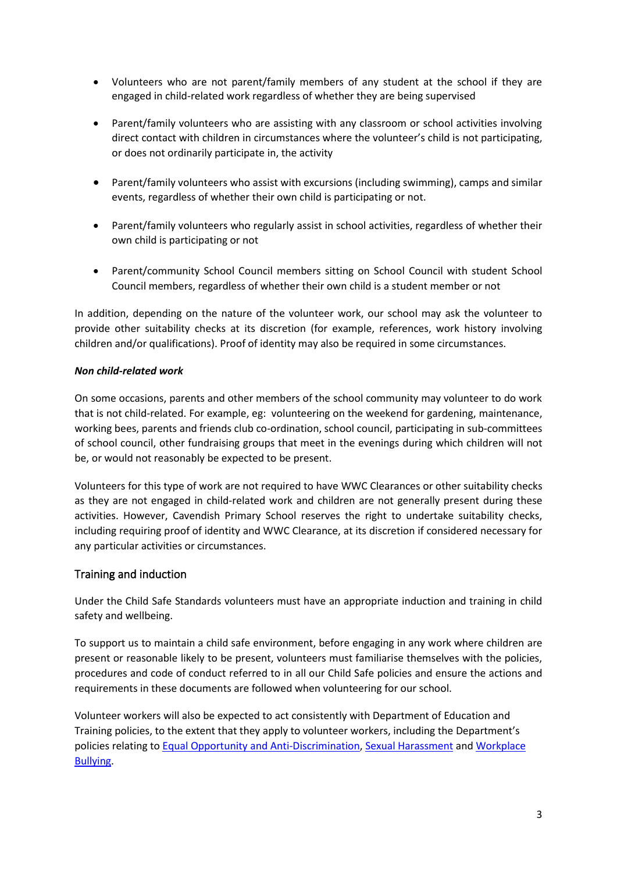- Volunteers who are not parent/family members of any student at the school if they are engaged in child-related work regardless of whether they are being supervised
- Parent/family volunteers who are assisting with any classroom or school activities involving direct contact with children in circumstances where the volunteer's child is not participating, or does not ordinarily participate in, the activity
- Parent/family volunteers who assist with excursions (including swimming), camps and similar events, regardless of whether their own child is participating or not.
- Parent/family volunteers who regularly assist in school activities, regardless of whether their own child is participating or not
- Parent/community School Council members sitting on School Council with student School Council members, regardless of whether their own child is a student member or not

In addition, depending on the nature of the volunteer work, our school may ask the volunteer to provide other suitability checks at its discretion (for example, references, work history involving children and/or qualifications). Proof of identity may also be required in some circumstances.

#### *Non child-related work*

On some occasions, parents and other members of the school community may volunteer to do work that is not child-related. For example, eg: volunteering on the weekend for gardening, maintenance, working bees, parents and friends club co-ordination, school council, participating in sub-committees of school council, other fundraising groups that meet in the evenings during which children will not be, or would not reasonably be expected to be present.

Volunteers for this type of work are not required to have WWC Clearances or other suitability checks as they are not engaged in child-related work and children are not generally present during these activities. However, Cavendish Primary School reserves the right to undertake suitability checks, including requiring proof of identity and WWC Clearance, at its discretion if considered necessary for any particular activities or circumstances.

## Training and induction

Under the Child Safe Standards volunteers must have an appropriate induction and training in child safety and wellbeing.

To support us to maintain a child safe environment, before engaging in any work where children are present or reasonable likely to be present, volunteers must familiarise themselves with the policies, procedures and code of conduct referred to in all our Child Safe policies and ensure the actions and requirements in these documents are followed when volunteering for our school.

Volunteer workers will also be expected to act consistently with Department of Education and Training policies, to the extent that they apply to volunteer workers, including the Department's policies relating to Equal Opportunity [and Anti-Discrimination,](https://www2.education.vic.gov.au/pal/equal-opportunity/policy-and-guidelines) [Sexual Harassment](https://www2.education.vic.gov.au/pal/sexual-harassment/overview) and [Workplace](https://www2.education.vic.gov.au/pal/workplace-bullying/policy)  [Bullying.](https://www2.education.vic.gov.au/pal/workplace-bullying/policy)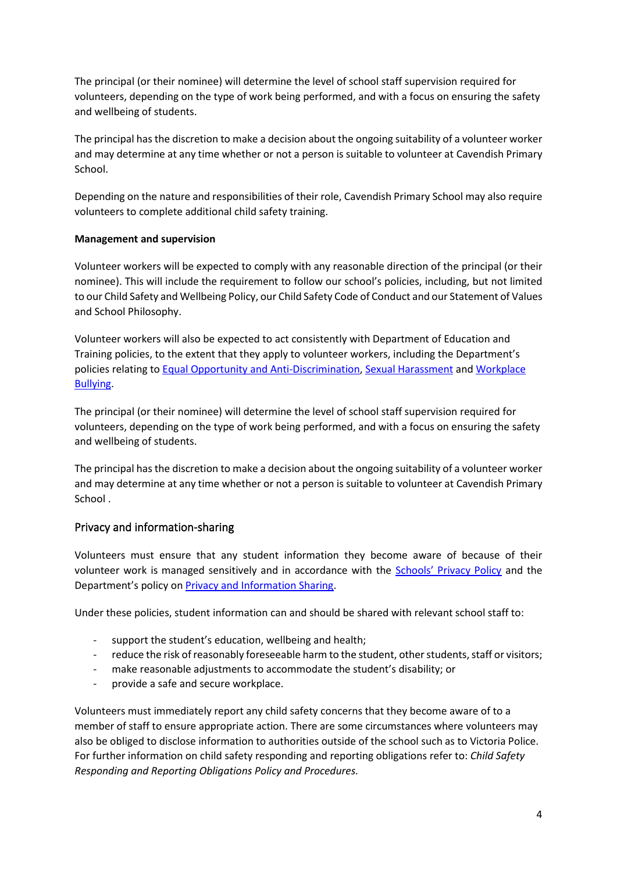The principal (or their nominee) will determine the level of school staff supervision required for volunteers, depending on the type of work being performed, and with a focus on ensuring the safety and wellbeing of students.

The principal has the discretion to make a decision about the ongoing suitability of a volunteer worker and may determine at any time whether or not a person is suitable to volunteer at Cavendish Primary School.

Depending on the nature and responsibilities of their role, Cavendish Primary School may also require volunteers to complete additional child safety training.

#### **Management and supervision**

Volunteer workers will be expected to comply with any reasonable direction of the principal (or their nominee). This will include the requirement to follow our school's policies, including, but not limited to our Child Safety and Wellbeing Policy, our Child Safety Code of Conduct and our Statement of Values and School Philosophy.

Volunteer workers will also be expected to act consistently with Department of Education and Training policies, to the extent that they apply to volunteer workers, including the Department's policies relating to [Equal Opportunity and Anti-Discrimination,](https://www2.education.vic.gov.au/pal/equal-opportunity/policy-and-guidelines) [Sexual Harassment](https://www2.education.vic.gov.au/pal/sexual-harassment/overview) and [Workplace](https://www2.education.vic.gov.au/pal/workplace-bullying/policy)  [Bullying.](https://www2.education.vic.gov.au/pal/workplace-bullying/policy)

The principal (or their nominee) will determine the level of school staff supervision required for volunteers, depending on the type of work being performed, and with a focus on ensuring the safety and wellbeing of students.

The principal has the discretion to make a decision about the ongoing suitability of a volunteer worker and may determine at any time whether or not a person is suitable to volunteer at Cavendish Primary School .

## Privacy and information-sharing

Volunteers must ensure that any student information they become aware of because of their volunteer work is managed sensitively and in accordance with the [Schools' Privacy Policy](https://www.education.vic.gov.au/Pages/schoolsprivacypolicy.aspx) and the Department's policy on [Privacy and Information Sharing.](https://www2.education.vic.gov.au/pal/privacy-information-sharing/policy)

Under these policies, student information can and should be shared with relevant school staff to:

- support the student's education, wellbeing and health;
- reduce the risk of reasonably foreseeable harm to the student, other students, staff or visitors;
- make reasonable adjustments to accommodate the student's disability; or
- provide a safe and secure workplace.

Volunteers must immediately report any child safety concerns that they become aware of to a member of staff to ensure appropriate action. There are some circumstances where volunteers may also be obliged to disclose information to authorities outside of the school such as to Victoria Police. For further information on child safety responding and reporting obligations refer to: *Child Safety Responding and Reporting Obligations Policy and Procedures.*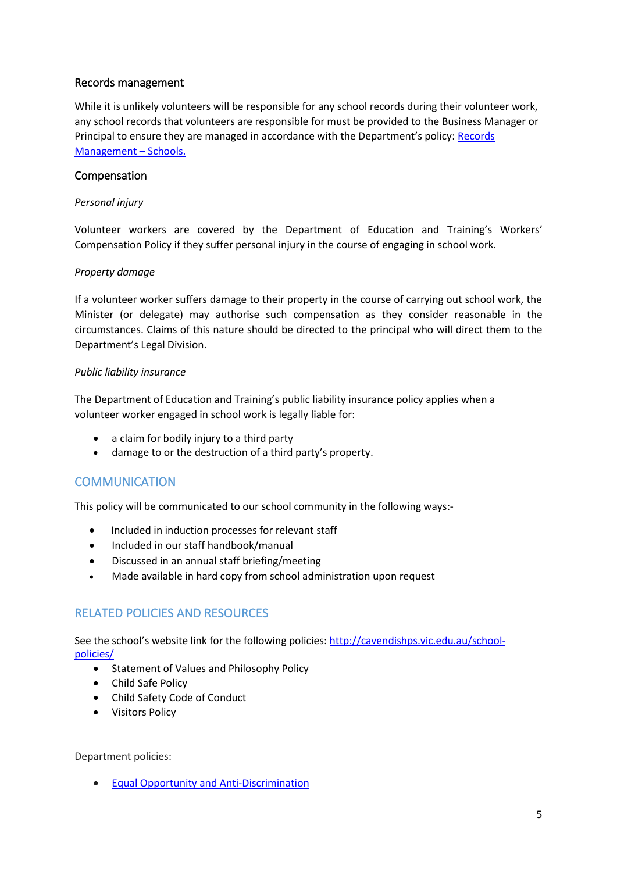## Records management

While it is unlikely volunteers will be responsible for any school records during their volunteer work, any school records that volunteers are responsible for must be provided to the Business Manager or Principal to ensure they are managed in accordance with the Department's policy: [Records](https://www2.education.vic.gov.au/pal/records-management/policy)  [Management](https://www2.education.vic.gov.au/pal/records-management/policy) – Schools.

## Compensation

#### *Personal injury*

Volunteer workers are covered by the Department of Education and Training's Workers' Compensation Policy if they suffer personal injury in the course of engaging in school work.

#### *Property damage*

If a volunteer worker suffers damage to their property in the course of carrying out school work, the Minister (or delegate) may authorise such compensation as they consider reasonable in the circumstances. Claims of this nature should be directed to the principal who will direct them to the Department's Legal Division.

#### *Public liability insurance*

The Department of Education and Training's public liability insurance policy applies when a volunteer worker engaged in school work is legally liable for:

- a claim for bodily injury to a third party
- damage to or the destruction of a third party's property.

# **COMMUNICATION**

This policy will be communicated to our school community in the following ways:-

- Included in induction processes for relevant staff
- Included in our staff handbook/manual
- Discussed in an annual staff briefing/meeting
- Made available in hard copy from school administration upon request

# RELATED POLICIES AND RESOURCES

See the school's website link for the following policies: [http://cavendishps.vic.edu.au/school](http://cavendishps.vic.edu.au/school-policies/)[policies/](http://cavendishps.vic.edu.au/school-policies/)

- Statement of Values and Philosophy Policy
- Child Safe Policy
- Child Safety Code of Conduct
- Visitors Policy

Department policies:

• [Equal Opportunity and Anti-Discrimination](https://www2.education.vic.gov.au/pal/equal-opportunity/policy-and-guidelines)